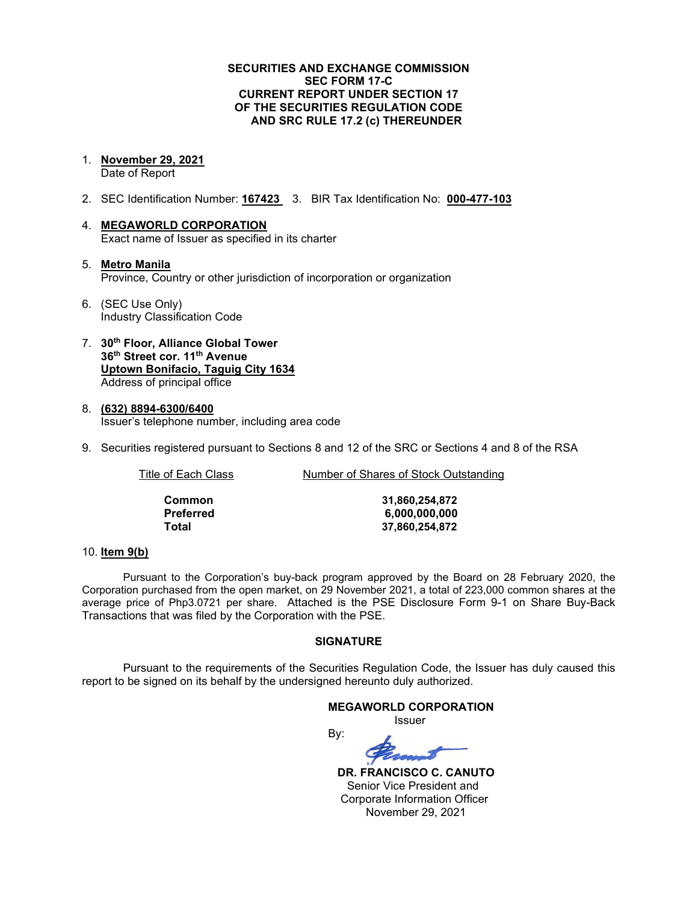### **SECURITIES AND EXCHANGE COMMISSION SEC FORM 17-C CURRENT REPORT UNDER SECTION 17 OF THE SECURITIES REGULATION CODE AND SRC RULE 17.2 (c) THEREUNDER**

1. **November 29, 2021**

Date of Report

- 2. SEC Identification Number: **167423** 3. BIR Tax Identification No: **000-477-103**
- 4. **MEGAWORLD CORPORATION** Exact name of Issuer as specified in its charter
- 5. **Metro Manila** Province, Country or other jurisdiction of incorporation or organization
- 6. (SEC Use Only) Industry Classification Code
- 7. **30th Floor, Alliance Global Tower 36th Street cor. 11th Avenue Uptown Bonifacio, Taguig City 1634** Address of principal office
- 8. **(632) 8894-6300/6400** Issuer's telephone number, including area code
- 9. Securities registered pursuant to Sections 8 and 12 of the SRC or Sections 4 and 8 of the RSA

| Title of Each Class | Number of Shares of Stock Outstanding |
|---------------------|---------------------------------------|
|                     |                                       |

**Common 31,860,254,872 Preferred 6,000,000,000 Total 37,860,254,872**

### 10. **Item 9(b)**

Pursuant to the Corporation's buy-back program approved by the Board on 28 February 2020, the Corporation purchased from the open market, on 29 November 2021, a total of 223,000 common shares at the average price of Php3.0721 per share. Attached is the PSE Disclosure Form 9-1 on Share Buy-Back Transactions that was filed by the Corporation with the PSE.

### **SIGNATURE**

Pursuant to the requirements of the Securities Regulation Code, the Issuer has duly caused this report to be signed on its behalf by the undersigned hereunto duly authorized.

# **MEGAWORLD CORPORATION** Issuer

By:

 **DR. FRANCISCO C. CANUTO** Senior Vice President and Corporate Information Officer November 29, 2021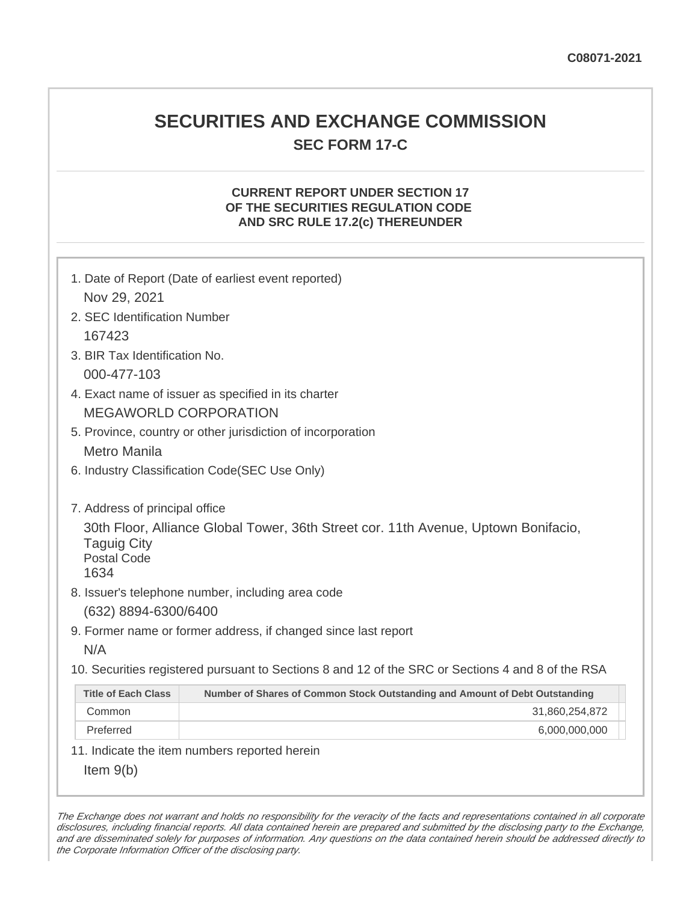# **SECURITIES AND EXCHANGE COMMISSION SEC FORM 17-C**

# **CURRENT REPORT UNDER SECTION 17 OF THE SECURITIES REGULATION CODE AND SRC RULE 17.2(c) THEREUNDER**

| Nov 29, 2021                                                                       | 1. Date of Report (Date of earliest event reported)                                                                                     |
|------------------------------------------------------------------------------------|-----------------------------------------------------------------------------------------------------------------------------------------|
| 2. SEC Identification Number                                                       |                                                                                                                                         |
| 167423                                                                             |                                                                                                                                         |
| 3. BIR Tax Identification No.                                                      |                                                                                                                                         |
| 000-477-103                                                                        |                                                                                                                                         |
|                                                                                    | 4. Exact name of issuer as specified in its charter                                                                                     |
|                                                                                    | <b>MEGAWORLD CORPORATION</b>                                                                                                            |
|                                                                                    | 5. Province, country or other jurisdiction of incorporation                                                                             |
| <b>Metro Manila</b>                                                                |                                                                                                                                         |
|                                                                                    | 6. Industry Classification Code(SEC Use Only)                                                                                           |
| 7. Address of principal office<br><b>Taguig City</b><br><b>Postal Code</b><br>1634 | 30th Floor, Alliance Global Tower, 36th Street cor. 11th Avenue, Uptown Bonifacio,<br>8. Issuer's telephone number, including area code |
| (632) 8894-6300/6400                                                               |                                                                                                                                         |
| N/A                                                                                | 9. Former name or former address, if changed since last report                                                                          |
|                                                                                    | 10. Securities registered pursuant to Sections 8 and 12 of the SRC or Sections 4 and 8 of the RSA                                       |
| <b>Title of Each Class</b>                                                         | Number of Shares of Common Stock Outstanding and Amount of Debt Outstanding                                                             |
| Common                                                                             | 31,860,254,872                                                                                                                          |
| Preferred                                                                          | 6,000,000,000                                                                                                                           |
|                                                                                    | 11. Indicate the item numbers reported herein                                                                                           |
| Item $9(b)$                                                                        |                                                                                                                                         |

The Exchange does not warrant and holds no responsibility for the veracity of the facts and representations contained in all corporate disclosures, including financial reports. All data contained herein are prepared and submitted by the disclosing party to the Exchange, and are disseminated solely for purposes of information. Any questions on the data contained herein should be addressed directly to the Corporate Information Officer of the disclosing party.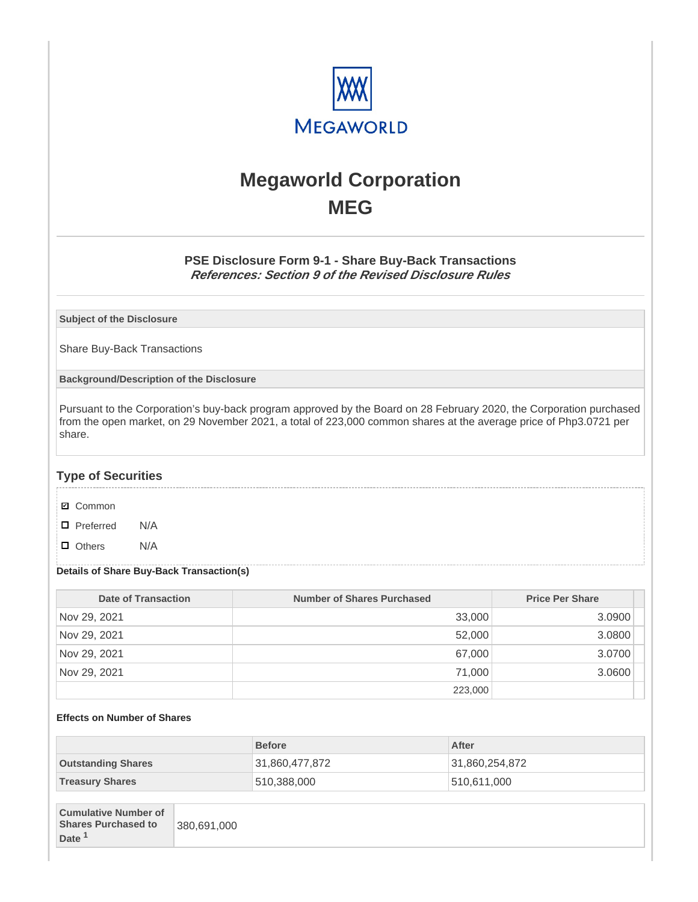

# **Megaworld Corporation MEG**

# **PSE Disclosure Form 9-1 - Share Buy-Back Transactions References: Section 9 of the Revised Disclosure Rules**

**Subject of the Disclosure**

Share Buy-Back Transactions

**Background/Description of the Disclosure**

Pursuant to the Corporation's buy-back program approved by the Board on 28 February 2020, the Corporation purchased from the open market, on 29 November 2021, a total of 223,000 common shares at the average price of Php3.0721 per share.

## **Type of Securities**

- **☑** Common
- □ Preferred N/A
- D Others N/A

#### **Details of Share Buy-Back Transaction(s)**

| Date of Transaction | Number of Shares Purchased | <b>Price Per Share</b> |
|---------------------|----------------------------|------------------------|
| Nov 29, 2021        | 33,000                     | 3.0900                 |
| Nov 29, 2021        | 52,000                     | 3.0800                 |
| Nov 29, 2021        | 67,000                     | 3.0700                 |
| Nov 29, 2021        | 71,000                     | 3.0600                 |
|                     | 223,000                    |                        |

### **Effects on Number of Shares**

|                           | <b>Before</b>  | After          |
|---------------------------|----------------|----------------|
| <b>Outstanding Shares</b> | 31,860,477,872 | 31,860,254,872 |
| <b>Treasury Shares</b>    | 510,388,000    | 510,611,000    |

| <b>Cumulative Number of</b> |             |
|-----------------------------|-------------|
| <b>Shares Purchased to</b>  | 380,691,000 |
| Date <sup>1</sup>           |             |